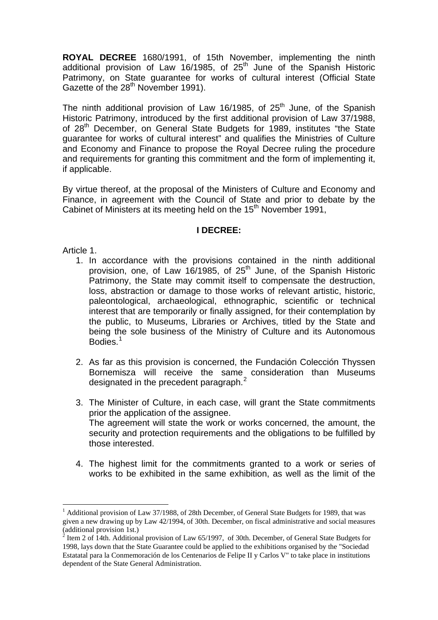**ROYAL DECREE** 1680/1991, of 15th November, implementing the ninth additional provision of Law 16/1985, of  $25<sup>th</sup>$  June of the Spanish Historic Patrimony, on State guarantee for works of cultural interest (Official State Gazette of the 28<sup>th</sup> November 1991).

The ninth additional provision of Law 16/1985, of  $25<sup>th</sup>$  June, of the Spanish Historic Patrimony, introduced by the first additional provision of Law 37/1988, of 28<sup>th</sup> December, on General State Budgets for 1989, institutes "the State guarantee for works of cultural interest" and qualifies the Ministries of Culture and Economy and Finance to propose the Royal Decree ruling the procedure and requirements for granting this commitment and the form of implementing it, if applicable.

By virtue thereof, at the proposal of the Ministers of Culture and Economy and Finance, in agreement with the Council of State and prior to debate by the Cabinet of Ministers at its meeting held on the 15<sup>th</sup> November 1991,

#### **I DECREE:**

Article 1.

1

- 1. In accordance with the provisions contained in the ninth additional provision, one, of Law 16/1985, of 25<sup>th</sup> June, of the Spanish Historic Patrimony, the State may commit itself to compensate the destruction, loss, abstraction or damage to those works of relevant artistic, historic, paleontological, archaeological, ethnographic, scientific or technical interest that are temporarily or finally assigned, for their contemplation by the public, to Museums, Libraries or Archives, titled by the State and being the sole business of the Ministry of Culture and its Autonomous Bodies.<sup>[1](#page-0-0)</sup>
- 2. As far as this provision is concerned, the Fundación Colección Thyssen Bornemisza will receive the same consideration than Museums designated in the precedent paragraph. $^2$  $^2$
- 3. The Minister of Culture, in each case, will grant the State commitments prior the application of the assignee. The agreement will state the work or works concerned, the amount, the security and protection requirements and the obligations to be fulfilled by those interested.
- 4. The highest limit for the commitments granted to a work or series of works to be exhibited in the same exhibition, as well as the limit of the

<span id="page-0-0"></span><sup>&</sup>lt;sup>1</sup> Additional provision of Law 37/1988, of 28th December, of General State Budgets for 1989, that was given a new drawing up by Law 42/1994, of 30th. December, on fiscal administrative and social measures (additional provision 1st.)<br> $\frac{2}{3}$  Item 2 of 14th Additions

<span id="page-0-1"></span>Item 2 of 14th. Additional provision of Law 65/1997, of 30th. December, of General State Budgets for 1998, lays down that the State Guarantee could be applied to the exhibitions organised by the "Sociedad Estatatal para la Conmemoración de los Centenarios de Felipe II y Carlos V" to take place in institutions dependent of the State General Administration.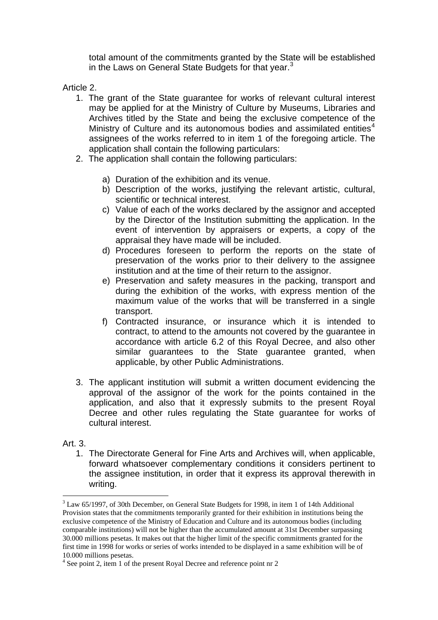total amount of the commitments granted by the State will be established in the Laws on General State Budgets for that year. $3$ 

Article 2.

- 1. The grant of the State guarantee for works of relevant cultural interest may be applied for at the Ministry of Culture by Museums, Libraries and Archives titled by the State and being the exclusive competence of the Ministry of Culture and its autonomous bodies and assimilated entities $4$ assignees of the works referred to in item 1 of the foregoing article. The application shall contain the following particulars:
- 2. The application shall contain the following particulars:
	- a) Duration of the exhibition and its venue.
	- b) Description of the works, justifying the relevant artistic, cultural, scientific or technical interest.
	- c) Value of each of the works declared by the assignor and accepted by the Director of the Institution submitting the application. In the event of intervention by appraisers or experts, a copy of the appraisal they have made will be included.
	- d) Procedures foreseen to perform the reports on the state of preservation of the works prior to their delivery to the assignee institution and at the time of their return to the assignor.
	- e) Preservation and safety measures in the packing, transport and during the exhibition of the works, with express mention of the maximum value of the works that will be transferred in a single transport.
	- f) Contracted insurance, or insurance which it is intended to contract, to attend to the amounts not covered by the guarantee in accordance with article 6.2 of this Royal Decree, and also other similar guarantees to the State guarantee granted, when applicable, by other Public Administrations.
- 3. The applicant institution will submit a written document evidencing the approval of the assignor of the work for the points contained in the application, and also that it expressly submits to the present Royal Decree and other rules regulating the State guarantee for works of cultural interest.

### Art. 3.

1

1. The Directorate General for Fine Arts and Archives will, when applicable, forward whatsoever complementary conditions it considers pertinent to the assignee institution, in order that it express its approval therewith in writing.

 $3$  Law 65/1997, of 30th December, on General State Budgets for 1998, in item 1 of 14th Additional Provision states that the commitments temporarily granted for their exhibition in institutions being the exclusive competence of the Ministry of Education and Culture and its autonomous bodies (including comparable institutions) will not be higher than the accumulated amount at 31st December surpassing 30.000 millions pesetas. It makes out that the higher limit of the specific commitments granted for the first time in 1998 for works or series of works intended to be displayed in a same exhibition will be of 10.000 millions pesetas.

<span id="page-1-0"></span><sup>&</sup>lt;sup>4</sup> See point 2, item 1 of the present Royal Decree and reference point nr 2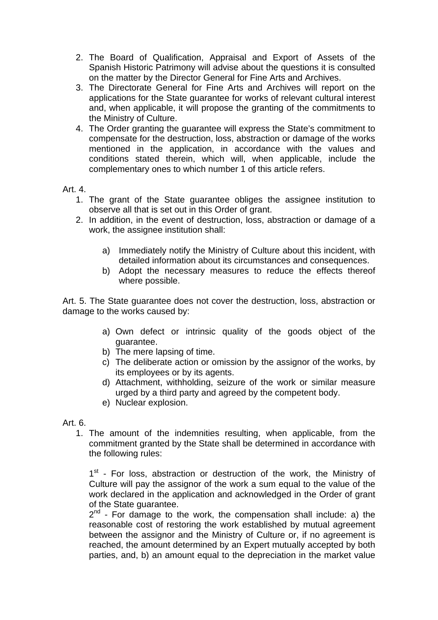- 2. The Board of Qualification, Appraisal and Export of Assets of the Spanish Historic Patrimony will advise about the questions it is consulted on the matter by the Director General for Fine Arts and Archives.
- 3. The Directorate General for Fine Arts and Archives will report on the applications for the State guarantee for works of relevant cultural interest and, when applicable, it will propose the granting of the commitments to the Ministry of Culture.
- 4. The Order granting the guarantee will express the State's commitment to compensate for the destruction, loss, abstraction or damage of the works mentioned in the application, in accordance with the values and conditions stated therein, which will, when applicable, include the complementary ones to which number 1 of this article refers.

### Art. 4.

- 1. The grant of the State guarantee obliges the assignee institution to observe all that is set out in this Order of grant.
- 2. In addition, in the event of destruction, loss, abstraction or damage of a work, the assignee institution shall:
	- a) Immediately notify the Ministry of Culture about this incident, with detailed information about its circumstances and consequences.
	- b) Adopt the necessary measures to reduce the effects thereof where possible.

Art. 5. The State guarantee does not cover the destruction, loss, abstraction or damage to the works caused by:

- a) Own defect or intrinsic quality of the goods object of the guarantee.
- b) The mere lapsing of time.
- c) The deliberate action or omission by the assignor of the works, by its employees or by its agents.
- d) Attachment, withholding, seizure of the work or similar measure urged by a third party and agreed by the competent body.
- e) Nuclear explosion.

### Art. 6.

1. The amount of the indemnities resulting, when applicable, from the commitment granted by the State shall be determined in accordance with the following rules:

1<sup>st</sup> - For loss, abstraction or destruction of the work, the Ministry of Culture will pay the assignor of the work a sum equal to the value of the work declared in the application and acknowledged in the Order of grant of the State guarantee.

 $2<sup>nd</sup>$  - For damage to the work, the compensation shall include: a) the reasonable cost of restoring the work established by mutual agreement between the assignor and the Ministry of Culture or, if no agreement is reached, the amount determined by an Expert mutually accepted by both parties, and, b) an amount equal to the depreciation in the market value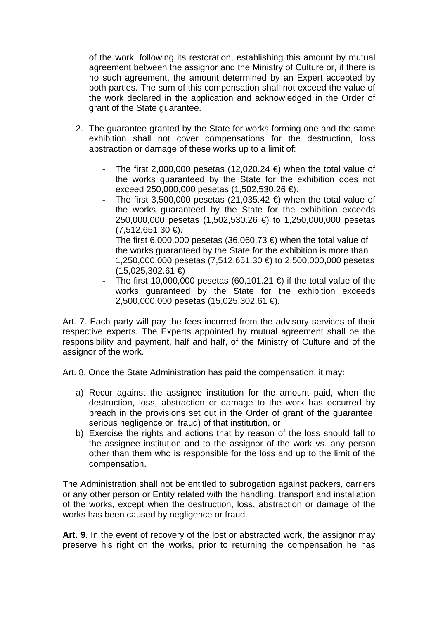of the work, following its restoration, establishing this amount by mutual agreement between the assignor and the Ministry of Culture or, if there is no such agreement, the amount determined by an Expert accepted by both parties. The sum of this compensation shall not exceed the value of the work declared in the application and acknowledged in the Order of grant of the State guarantee.

- 2. The guarantee granted by the State for works forming one and the same exhibition shall not cover compensations for the destruction, loss abstraction or damage of these works up to a limit of:
	- The first 2,000,000 pesetas (12,020.24  $\in$ ) when the total value of the works guaranteed by the State for the exhibition does not exceed 250,000,000 pesetas (1,502,530.26 €).
	- The first 3,500,000 pesetas (21,035.42 €) when the total value of the works guaranteed by the State for the exhibition exceeds 250,000,000 pesetas (1,502,530.26 €) to 1,250,000,000 pesetas  $(7,512,651.30 \in)$ .
	- The first 6,000,000 pesetas (36,060.73 €) when the total value of the works guaranteed by the State for the exhibition is more than 1,250,000,000 pesetas (7,512,651.30 €) to 2,500,000,000 pesetas (15,025,302.61 €)
	- The first 10,000,000 pesetas (60,101.21  $\in$ ) if the total value of the works guaranteed by the State for the exhibition exceeds 2,500,000,000 pesetas (15,025,302.61 €).

Art. 7. Each party will pay the fees incurred from the advisory services of their respective experts. The Experts appointed by mutual agreement shall be the responsibility and payment, half and half, of the Ministry of Culture and of the assignor of the work.

Art. 8. Once the State Administration has paid the compensation, it may:

- a) Recur against the assignee institution for the amount paid, when the destruction, loss, abstraction or damage to the work has occurred by breach in the provisions set out in the Order of grant of the guarantee, serious negligence or fraud) of that institution, or
- b) Exercise the rights and actions that by reason of the loss should fall to the assignee institution and to the assignor of the work vs. any person other than them who is responsible for the loss and up to the limit of the compensation.

The Administration shall not be entitled to subrogation against packers, carriers or any other person or Entity related with the handling, transport and installation of the works, except when the destruction, loss, abstraction or damage of the works has been caused by negligence or fraud.

**Art. 9**. In the event of recovery of the lost or abstracted work, the assignor may preserve his right on the works, prior to returning the compensation he has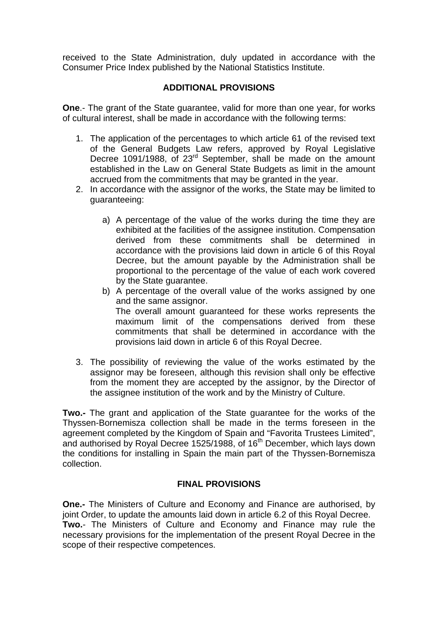received to the State Administration, duly updated in accordance with the Consumer Price Index published by the National Statistics Institute.

# **ADDITIONAL PROVISIONS**

**One**.- The grant of the State guarantee, valid for more than one year, for works of cultural interest, shall be made in accordance with the following terms:

- 1. The application of the percentages to which article 61 of the revised text of the General Budgets Law refers, approved by Royal Legislative Decree 1091/1988, of 23<sup>rd</sup> September, shall be made on the amount established in the Law on General State Budgets as limit in the amount accrued from the commitments that may be granted in the year.
- 2. In accordance with the assignor of the works, the State may be limited to guaranteeing:
	- a) A percentage of the value of the works during the time they are exhibited at the facilities of the assignee institution. Compensation derived from these commitments shall be determined in accordance with the provisions laid down in article 6 of this Royal Decree, but the amount payable by the Administration shall be proportional to the percentage of the value of each work covered by the State guarantee.
	- b) A percentage of the overall value of the works assigned by one and the same assignor. The overall amount guaranteed for these works represents the maximum limit of the compensations derived from these commitments that shall be determined in accordance with the provisions laid down in article 6 of this Royal Decree.
- 3. The possibility of reviewing the value of the works estimated by the assignor may be foreseen, although this revision shall only be effective from the moment they are accepted by the assignor, by the Director of the assignee institution of the work and by the Ministry of Culture.

**Two.-** The grant and application of the State guarantee for the works of the Thyssen-Bornemisza collection shall be made in the terms foreseen in the agreement completed by the Kingdom of Spain and "Favorita Trustees Limited", and authorised by Royal Decree 1525/1988, of 16<sup>th</sup> December, which lays down the conditions for installing in Spain the main part of the Thyssen-Bornemisza collection.

## **FINAL PROVISIONS**

**One.-** The Ministers of Culture and Economy and Finance are authorised, by joint Order, to update the amounts laid down in article 6.2 of this Royal Decree. **Two.**- The Ministers of Culture and Economy and Finance may rule the necessary provisions for the implementation of the present Royal Decree in the scope of their respective competences.